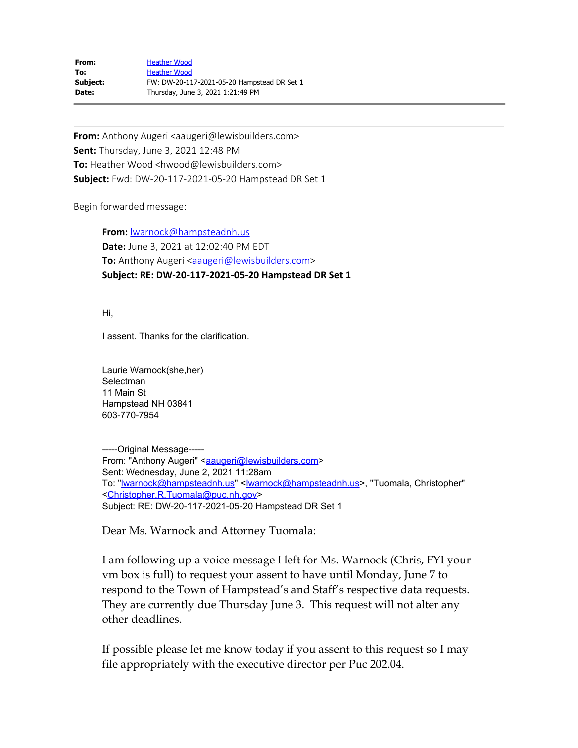| From:    | <b>Heather Wood</b>                         |
|----------|---------------------------------------------|
| To:      | <b>Heather Wood</b>                         |
| Subject: | FW: DW-20-117-2021-05-20 Hampstead DR Set 1 |
| Date:    | Thursday, June 3, 2021 1:21:49 PM           |

**From:** Anthony Augeri <aaugeri@lewisbuilders.com> **Sent:** Thursday, June 3, 2021 12:48 PM **To:** Heather Wood <hwood@lewisbuilders.com> **Subject:** Fwd: DW-20-117-2021-05-20 Hampstead DR Set 1

Begin forwarded message:

**From:** [lwarnock@hampsteadnh.us](mailto:lwarnock@hampsteadnh.us) **Date:** June 3, 2021 at 12:02:40 PM EDT **To:** Anthony Augeri <**aaugeri@lewisbuilders.com> Subject: RE: DW-20-117-2021-05-20 Hampstead DR Set 1**

Hi,

I assent. Thanks for the clarification.

Laurie Warnock(she,her) **Selectman** 11 Main St Hampstead NH 03841 603-770-7954

-----Original Message----- From: "Anthony Augeri" <**aaugeri@lewisbuilders.com>** Sent: Wednesday, June 2, 2021 11:28am To: "**warnock@hampsteadnh.us"** < warnock@hampsteadnh.us >, "Tuomala, Christopher" [<Christopher.R.Tuomala@puc.nh.gov](mailto:Christopher.R.Tuomala@puc.nh.gov)> Subject: RE: DW-20-117-2021-05-20 Hampstead DR Set 1

Dear Ms. Warnock and Attorney Tuomala:

I am following up a voice message I left for Ms. Warnock (Chris, FYI your vm box is full) to request your assent to have until Monday, June 7 to respond to the Town of Hampstead's and Staff's respective data requests. They are currently due Thursday June 3. This request will not alter any other deadlines.

If possible please let me know today if you assent to this request so I may file appropriately with the executive director per Puc 202.04.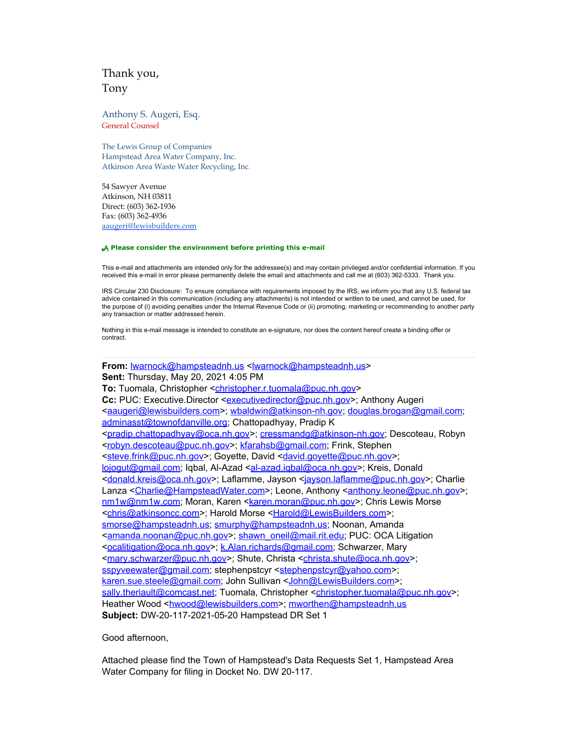## Thank you, Tony

Anthony S. Augeri, Esq. General Counsel

The Lewis Group of Companies Hampstead Area Water Company, Inc. Atkinson Area Waste Water Recycling, Inc.

54 Sawyer Avenue Atkinson, NH 03811 Direct: (603) 362-1936 Fax: (603) 362-4936 [aaugeri@lewisbuilders.com](mailto:aaugeri@lewisbuilders.com)

## P **Please consider the environment before printing this e-mail**

This e-mail and attachments are intended only for the addressee(s) and may contain privileged and/or confidential information. If you received this e-mail in error please permanently delete the email and attachments and call me at (603) 362-5333. Thank you.

IRS Circular 230 Disclosure: To ensure compliance with requirements imposed by the IRS, we inform you that any U.S. federal tax advice contained in this communication (including any attachments) is not intended or written to be used, and cannot be used, for the purpose of (i) avoiding penalties under the Internal Revenue Code or (ii) promoting, marketing or recommending to another party any transaction or matter addressed herein.

Nothing in this e-mail message is intended to constitute an e-signature, nor does the content hereof create a binding offer or contract.

From: warnock@hampsteadnh.us <warnock@hampsteadnh.us> **Sent:** Thursday, May 20, 2021 4:05 PM To: Tuomala, Christopher [<christopher.r.tuomala@puc.nh.gov](mailto:christopher.r.tuomala@puc.nh.gov)> Cc: PUC: Executive.Director [<executivedirector@puc.nh.gov](mailto:executivedirector@puc.nh.gov)>; Anthony Augeri [<aaugeri@lewisbuilders.com](mailto:aaugeri@lewisbuilders.com)>; [wbaldwin@atkinson-nh.gov](mailto:wbaldwin@atkinson-nh.gov); [douglas.brogan@gmail.com;](mailto:douglas.brogan@gmail.com) [adminasst@townofdanville.org;](mailto:adminasst@townofdanville.org) Chattopadhyay, Pradip K [<pradip.chattopadhyay@oca.nh.gov](mailto:pradip.chattopadhyay@oca.nh.gov)>; [cressmandg@atkinson-nh.gov](mailto:cressmandg@atkinson-nh.gov); Descoteau, Robyn [<robyn.descoteau@puc.nh.gov](mailto:robyn.descoteau@puc.nh.gov)>; [kfarahsb@gmail.com](mailto:kfarahsb@gmail.com); Frink, Stephen [<steve.frink@puc.nh.gov](mailto:steve.frink@puc.nh.gov)>; Goyette, David [<david.goyette@puc.nh.gov](mailto:david.goyette@puc.nh.gov)>; [lojogut@gmail.com](mailto:lojogut@gmail.com); Iqbal, Al-Azad <[al-azad.iqbal@oca.nh.gov>](mailto:al-azad.iqbal@oca.nh.gov); Kreis, Donald [<donald.kreis@oca.nh.gov](mailto:donald.kreis@oca.nh.gov)>; Laflamme, Jayson <[jayson.laflamme@puc.nh.gov>](mailto:jayson.laflamme@puc.nh.gov); Charlie Lanza <[Charlie@HampsteadWater.com](mailto:Charlie@HampsteadWater.com)>; Leone, Anthony [<anthony.leone@puc.nh.gov](mailto:anthony.leone@puc.nh.gov)>; [nm1w@nm1w.com](mailto:nm1w@nm1w.com); Moran, Karen [<karen.moran@puc.nh.gov](mailto:karen.moran@puc.nh.gov)>; Chris Lewis Morse [<chris@atkinsoncc.com](mailto:chris@atkinsoncc.com)>; Harold Morse [<Harold@LewisBuilders.com](mailto:Harold@LewisBuilders.com)>; [smorse@hampsteadnh.us](mailto:smorse@hampsteadnh.us); [smurphy@hampsteadnh.us](mailto:smurphy@hampsteadnh.us); Noonan, Amanda [<amanda.noonan@puc.nh.gov](mailto:amanda.noonan@puc.nh.gov)>; [shawn\\_oneil@mail.rit.edu;](mailto:shawn_oneil@mail.rit.edu) PUC: OCA Litigation [<ocalitigation@oca.nh.gov](mailto:ocalitigation@oca.nh.gov)>; [k.Alan.richards@gmail.com](mailto:k.Alan.richards@gmail.com); Schwarzer, Mary [<mary.schwarzer@puc.nh.gov](mailto:mary.schwarzer@puc.nh.gov)>; Shute, Christa [<christa.shute@oca.nh.gov](mailto:christa.shute@oca.nh.gov)>; [sspyveewater@gmail.com](mailto:sspyveewater@gmail.com); stephenpstcyr [<stephenpstcyr@yahoo.com](mailto:stephenpstcyr@yahoo.com)>; [karen.sue.steele@gmail.com](mailto:karen.sue.steele@gmail.com); John Sullivan [<John@LewisBuilders.com](mailto:John@LewisBuilders.com)>; [sally.theriault@comcast.net](mailto:sally.theriault@comcast.net); Tuomala, Christopher <[christopher.tuomala@puc.nh.gov](mailto:christopher.tuomala@puc.nh.gov)>; Heather Wood <https://wood@lewisbuilders.com>; [mworthen@hampsteadnh.us](mailto:mworthen@hampsteadnh.us) **Subject:** DW-20-117-2021-05-20 Hampstead DR Set 1

Good afternoon,

Attached please find the Town of Hampstead's Data Requests Set 1, Hampstead Area Water Company for filing in Docket No. DW 20-117.